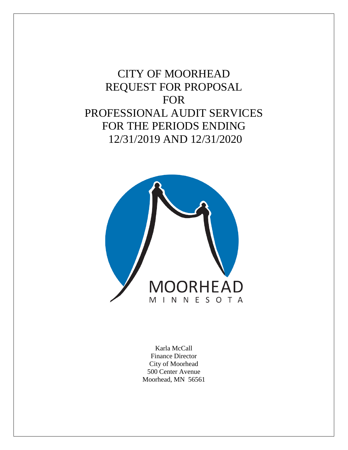# CITY OF MOORHEAD REQUEST FOR PROPOSAL FOR PROFESSIONAL AUDIT SERVICES FOR THE PERIODS ENDING 12/31/2019 AND 12/31/2020



Karla McCall Finance Director City of Moorhead 500 Center Avenue Moorhead, MN 56561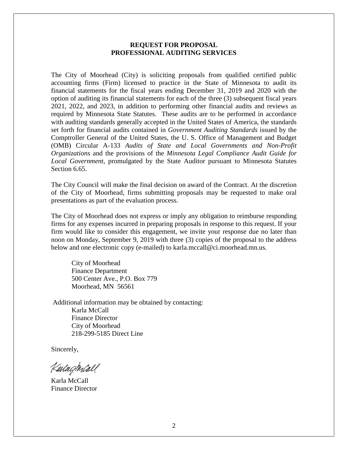## **REQUEST FOR PROPOSAL PROFESSIONAL AUDITING SERVICES**

The City of Moorhead (City) is soliciting proposals from qualified certified public accounting firms (Firm) licensed to practice in the State of Minnesota to audit its financial statements for the fiscal years ending December 31, 2019 and 2020 with the option of auditing its financial statements for each of the three (3) subsequent fiscal years 2021, 2022, and 2023, in addition to performing other financial audits and reviews as required by Minnesota State Statutes. These audits are to be performed in accordance with auditing standards generally accepted in the United States of America, the standards set forth for financial audits contained in *Government Auditing Standards* issued by the Comptroller General of the United States, the U. S. Office of Management and Budget (OMB) Circular A-133 *Audits of State and Local Governments and Non-Profit Organizations* and the provisions of the *Minnesota Legal Compliance Audit Guide for Local Government*, promulgated by the State Auditor pursuant to Minnesota Statutes Section 6.65.

The City Council will make the final decision on award of the Contract. At the discretion of the City of Moorhead, firms submitting proposals may be requested to make oral presentations as part of the evaluation process.

The City of Moorhead does not express or imply any obligation to reimburse responding firms for any expenses incurred in preparing proposals in response to this request. If your firm would like to consider this engagement, we invite your response due no later than noon on Monday, September 9, 2019 with three (3) copies of the proposal to the address below and one electronic copy (e-mailed) to karla.mccall@ci.moorhead.mn.us.

City of Moorhead Finance Department 500 Center Ave., P.O. Box 779 Moorhead, MN 56561

Additional information may be obtained by contacting: Karla McCall Finance Director City of Moorhead 218-299-5185 Direct Line

Sincerely,

KadaqMall

Karla McCall Finance Director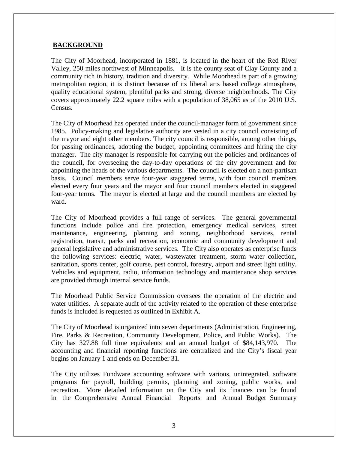## **BACKGROUND**

The City of Moorhead, incorporated in 1881, is located in the heart of the Red River Valley, 250 miles northwest of Minneapolis. It is the county seat of Clay County and a community rich in history, tradition and diversity. While Moorhead is part of a growing metropolitan region, it is distinct because of its liberal arts based college atmosphere, quality educational system, plentiful parks and strong, diverse neighborhoods. The City covers approximately 22.2 square miles with a population of 38,065 as of the 2010 U.S. Census.

The City of Moorhead has operated under the council-manager form of government since 1985. Policy-making and legislative authority are vested in a city council consisting of the mayor and eight other members. The city council is responsible, among other things, for passing ordinances, adopting the budget, appointing committees and hiring the city manager. The city manager is responsible for carrying out the policies and ordinances of the council, for overseeing the day-to-day operations of the city government and for appointing the heads of the various departments. The council is elected on a non-partisan basis. Council members serve four-year staggered terms, with four council members elected every four years and the mayor and four council members elected in staggered four-year terms. The mayor is elected at large and the council members are elected by ward.

The City of Moorhead provides a full range of services. The general governmental functions include police and fire protection, emergency medical services, street maintenance, engineering, planning and zoning, neighborhood services, rental registration, transit, parks and recreation, economic and community development and general legislative and administrative services. The City also operates as enterprise funds the following services: electric, water, wastewater treatment, storm water collection, sanitation, sports center, golf course, pest control, forestry, airport and street light utility. Vehicles and equipment, radio, information technology and maintenance shop services are provided through internal service funds.

The Moorhead Public Service Commission oversees the operation of the electric and water utilities. A separate audit of the activity related to the operation of these enterprise funds is included is requested as outlined in Exhibit A.

The City of Moorhead is organized into seven departments (Administration, Engineering, Fire, Parks & Recreation, Community Development, Police, and Public Works). The City has 327.88 full time equivalents and an annual budget of \$84,143,970. The accounting and financial reporting functions are centralized and the City's fiscal year begins on January 1 and ends on December 31.

The City utilizes Fundware accounting software with various, unintegrated, software programs for payroll, building permits, planning and zoning, public works, and recreation. More detailed information on the City and its finances can be found in the Comprehensive Annual Financial Reports and Annual Budget Summary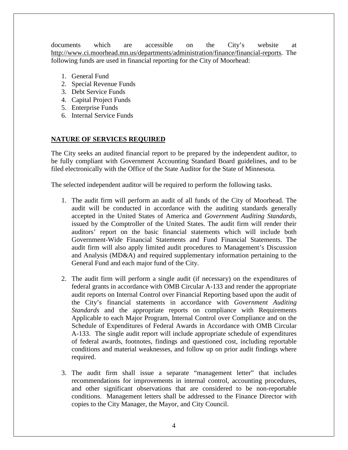documents which are accessible on the City's website at [http://www.ci.moorhead.mn.us/departments/administration/finance/financial-reports.](http://www.ci.moorhead.mn.us/departments/administration/finance/financial-reports) The following funds are used in financial reporting for the City of Moorhead:

- 1. General Fund
- 2. Special Revenue Funds
- 3. Debt Service Funds
- 4. Capital Project Funds
- 5. Enterprise Funds
- 6. Internal Service Funds

# **NATURE OF SERVICES REQUIRED**

The City seeks an audited financial report to be prepared by the independent auditor, to be fully compliant with Government Accounting Standard Board guidelines, and to be filed electronically with the Office of the State Auditor for the State of Minnesota.

The selected independent auditor will be required to perform the following tasks.

- 1. The audit firm will perform an audit of all funds of the City of Moorhead. The audit will be conducted in accordance with the auditing standards generally accepted in the United States of America and *Government Auditing Standards*, issued by the Comptroller of the United States. The audit firm will render their auditors' report on the basic financial statements which will include both Government-Wide Financial Statements and Fund Financial Statements. The audit firm will also apply limited audit procedures to Management's Discussion and Analysis (MD&A) and required supplementary information pertaining to the General Fund and each major fund of the City.
- 2. The audit firm will perform a single audit (if necessary) on the expenditures of federal grants in accordance with OMB Circular A-133 and render the appropriate audit reports on Internal Control over Financial Reporting based upon the audit of the City's financial statements in accordance with *Government Auditing Standards* and the appropriate reports on compliance with Requirements Applicable to each Major Program, Internal Control over Compliance and on the Schedule of Expenditures of Federal Awards in Accordance with OMB Circular A-133. The single audit report will include appropriate schedule of expenditures of federal awards, footnotes, findings and questioned cost, including reportable conditions and material weaknesses, and follow up on prior audit findings where required.
- 3. The audit firm shall issue a separate "management letter" that includes recommendations for improvements in internal control, accounting procedures, and other significant observations that are considered to be non-reportable conditions. Management letters shall be addressed to the Finance Director with copies to the City Manager, the Mayor, and City Council.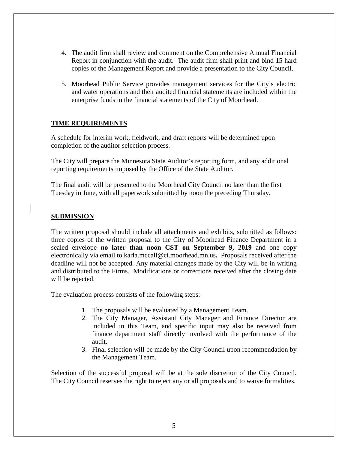- 4. The audit firm shall review and comment on the Comprehensive Annual Financial Report in conjunction with the audit. The audit firm shall print and bind 15 hard copies of the Management Report and provide a presentation to the City Council.
- 5. Moorhead Public Service provides management services for the City's electric and water operations and their audited financial statements are included within the enterprise funds in the financial statements of the City of Moorhead.

## **TIME REQUIREMENTS**

A schedule for interim work, fieldwork, and draft reports will be determined upon completion of the auditor selection process.

The City will prepare the Minnesota State Auditor's reporting form, and any additional reporting requirements imposed by the Office of the State Auditor.

The final audit will be presented to the Moorhead City Council no later than the first Tuesday in June, with all paperwork submitted by noon the preceding Thursday.

# **SUBMISSION**

The written proposal should include all attachments and exhibits, submitted as follows: three copies of the written proposal to the City of Moorhead Finance Department in a sealed envelope **no later than noon CST on September 9, 2019** and one copy electronically via email to karla.mccall@ci.moorhead.mn.us**.** Proposals received after the deadline will not be accepted. Any material changes made by the City will be in writing and distributed to the Firms. Modifications or corrections received after the closing date will be rejected.

The evaluation process consists of the following steps:

- 1. The proposals will be evaluated by a Management Team.
- 2. The City Manager, Assistant City Manager and Finance Director are included in this Team, and specific input may also be received from finance department staff directly involved with the performance of the audit.
- 3. Final selection will be made by the City Council upon recommendation by the Management Team.

Selection of the successful proposal will be at the sole discretion of the City Council. The City Council reserves the right to reject any or all proposals and to waive formalities.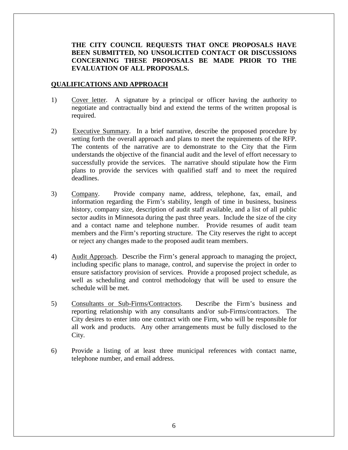# **THE CITY COUNCIL REQUESTS THAT ONCE PROPOSALS HAVE BEEN SUBMITTED, NO UNSOLICITED CONTACT OR DISCUSSIONS CONCERNING THESE PROPOSALS BE MADE PRIOR TO THE EVALUATION OF ALL PROPOSALS.**

#### **QUALIFICATIONS AND APPROACH**

- 1) Cover letter. A signature by a principal or officer having the authority to negotiate and contractually bind and extend the terms of the written proposal is required.
- 2) Executive Summary. In a brief narrative, describe the proposed procedure by setting forth the overall approach and plans to meet the requirements of the RFP. The contents of the narrative are to demonstrate to the City that the Firm understands the objective of the financial audit and the level of effort necessary to successfully provide the services. The narrative should stipulate how the Firm plans to provide the services with qualified staff and to meet the required deadlines.
- 3) Company. Provide company name, address, telephone, fax, email, and information regarding the Firm's stability, length of time in business, business history, company size, description of audit staff available, and a list of all public sector audits in Minnesota during the past three years. Include the size of the city and a contact name and telephone number. Provide resumes of audit team members and the Firm's reporting structure. The City reserves the right to accept or reject any changes made to the proposed audit team members.
- 4) Audit Approach. Describe the Firm's general approach to managing the project, including specific plans to manage, control, and supervise the project in order to ensure satisfactory provision of services. Provide a proposed project schedule, as well as scheduling and control methodology that will be used to ensure the schedule will be met.
- 5) Consultants or Sub-Firms/Contractors. Describe the Firm's business and reporting relationship with any consultants and/or sub-Firms/contractors. The City desires to enter into one contract with one Firm, who will be responsible for all work and products. Any other arrangements must be fully disclosed to the City.
- 6) Provide a listing of at least three municipal references with contact name, telephone number, and email address.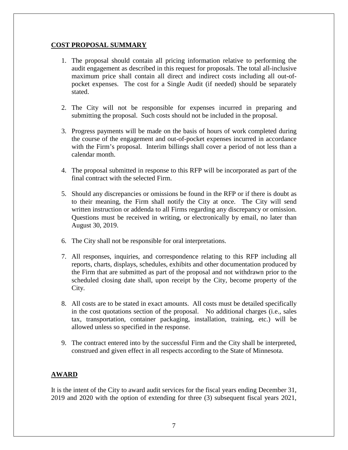# **COST PROPOSAL SUMMARY**

- 1. The proposal should contain all pricing information relative to performing the audit engagement as described in this request for proposals. The total all-inclusive maximum price shall contain all direct and indirect costs including all out-ofpocket expenses. The cost for a Single Audit (if needed) should be separately stated.
- 2. The City will not be responsible for expenses incurred in preparing and submitting the proposal. Such costs should not be included in the proposal.
- 3. Progress payments will be made on the basis of hours of work completed during the course of the engagement and out-of-pocket expenses incurred in accordance with the Firm's proposal. Interim billings shall cover a period of not less than a calendar month.
- 4. The proposal submitted in response to this RFP will be incorporated as part of the final contract with the selected Firm.
- 5. Should any discrepancies or omissions be found in the RFP or if there is doubt as to their meaning, the Firm shall notify the City at once. The City will send written instruction or addenda to all Firms regarding any discrepancy or omission. Questions must be received in writing, or electronically by email, no later than August 30, 2019.
- 6. The City shall not be responsible for oral interpretations.
- 7. All responses, inquiries, and correspondence relating to this RFP including all reports, charts, displays, schedules, exhibits and other documentation produced by the Firm that are submitted as part of the proposal and not withdrawn prior to the scheduled closing date shall, upon receipt by the City, become property of the City.
- 8. All costs are to be stated in exact amounts. All costs must be detailed specifically in the cost quotations section of the proposal. No additional charges (i.e., sales tax, transportation, container packaging, installation, training, etc.) will be allowed unless so specified in the response.
- 9. The contract entered into by the successful Firm and the City shall be interpreted, construed and given effect in all respects according to the State of Minnesota.

# **AWARD**

It is the intent of the City to award audit services for the fiscal years ending December 31, 2019 and 2020 with the option of extending for three (3) subsequent fiscal years 2021,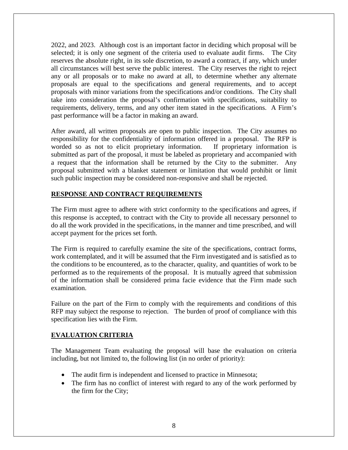2022, and 2023. Although cost is an important factor in deciding which proposal will be selected; it is only one segment of the criteria used to evaluate audit firms. The City reserves the absolute right, in its sole discretion, to award a contract, if any, which under all circumstances will best serve the public interest. The City reserves the right to reject any or all proposals or to make no award at all, to determine whether any alternate proposals are equal to the specifications and general requirements, and to accept proposals with minor variations from the specifications and/or conditions. The City shall take into consideration the proposal's confirmation with specifications, suitability to requirements, delivery, terms, and any other item stated in the specifications. A Firm's past performance will be a factor in making an award.

After award, all written proposals are open to public inspection. The City assumes no responsibility for the confidentiality of information offered in a proposal. The RFP is worded so as not to elicit proprietary information. If proprietary information is submitted as part of the proposal, it must be labeled as proprietary and accompanied with a request that the information shall be returned by the City to the submitter. Any proposal submitted with a blanket statement or limitation that would prohibit or limit such public inspection may be considered non-responsive and shall be rejected.

# **RESPONSE AND CONTRACT REQUIREMENTS**

The Firm must agree to adhere with strict conformity to the specifications and agrees, if this response is accepted, to contract with the City to provide all necessary personnel to do all the work provided in the specifications, in the manner and time prescribed, and will accept payment for the prices set forth.

The Firm is required to carefully examine the site of the specifications, contract forms, work contemplated, and it will be assumed that the Firm investigated and is satisfied as to the conditions to be encountered, as to the character, quality, and quantities of work to be performed as to the requirements of the proposal. It is mutually agreed that submission of the information shall be considered prima facie evidence that the Firm made such examination.

Failure on the part of the Firm to comply with the requirements and conditions of this RFP may subject the response to rejection. The burden of proof of compliance with this specification lies with the Firm.

# **EVALUATION CRITERIA**

The Management Team evaluating the proposal will base the evaluation on criteria including, but not limited to, the following list (in no order of priority):

- The audit firm is independent and licensed to practice in Minnesota;
- The firm has no conflict of interest with regard to any of the work performed by the firm for the City;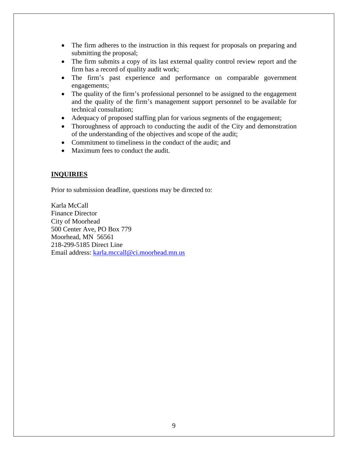- The firm adheres to the instruction in this request for proposals on preparing and submitting the proposal;
- The firm submits a copy of its last external quality control review report and the firm has a record of quality audit work;
- The firm's past experience and performance on comparable government engagements;
- The quality of the firm's professional personnel to be assigned to the engagement and the quality of the firm's management support personnel to be available for technical consultation;
- Adequacy of proposed staffing plan for various segments of the engagement;
- Thoroughness of approach to conducting the audit of the City and demonstration of the understanding of the objectives and scope of the audit;
- Commitment to timeliness in the conduct of the audit: and
- Maximum fees to conduct the audit.

# **INQUIRIES**

Prior to submission deadline, questions may be directed to:

Karla McCall Finance Director City of Moorhead 500 Center Ave, PO Box 779 Moorhead, MN 56561 218-299-5185 Direct Line Email address: [karla.mccall@ci.moorhead.mn.us](mailto:karla.mccall@ci.moorhead.mn.us)